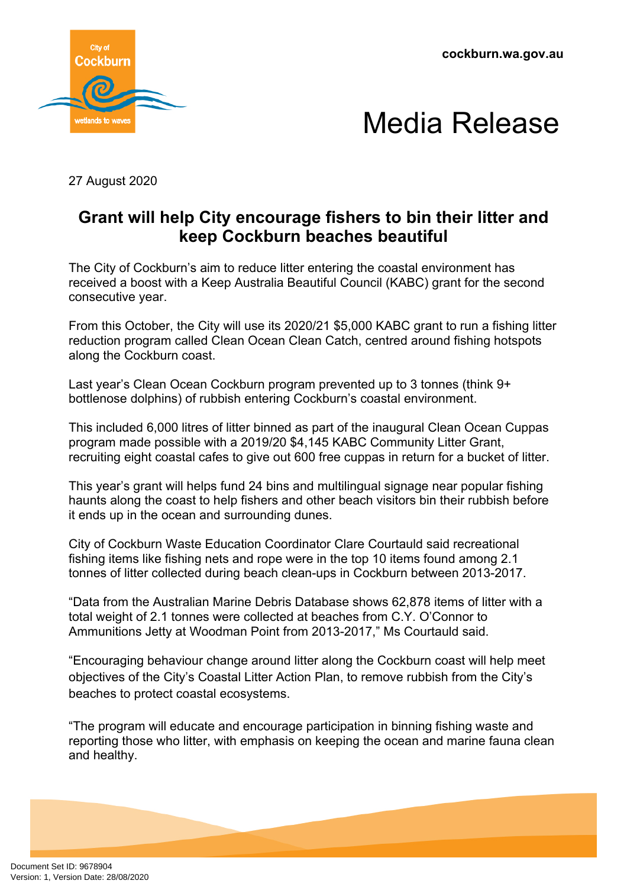**cockburn.wa.gov.au**





27 August 2020

## **Grant will help City encourage fishers to bin their litter and keep Cockburn beaches beautiful**

The City of Cockburn's aim to reduce litter entering the coastal environment has received a boost with a Keep Australia Beautiful Council (KABC) grant for the second consecutive year.

From this October, the City will use its 2020/21 \$5,000 KABC grant to run a fishing litter reduction program called Clean Ocean Clean Catch, centred around fishing hotspots along the Cockburn coast.

Last year's Clean Ocean Cockburn program prevented up to 3 tonnes (think 9+ bottlenose dolphins) of rubbish entering Cockburn's coastal environment.

This included 6,000 litres of litter binned as part of the inaugural Clean Ocean Cuppas program made possible with a 2019/20 \$4,145 KABC Community Litter Grant, recruiting eight coastal cafes to give out 600 free cuppas in return for a bucket of litter.

This year's grant will helps fund 24 bins and multilingual signage near popular fishing haunts along the coast to help fishers and other beach visitors bin their rubbish before it ends up in the ocean and surrounding dunes.

City of Cockburn Waste Education Coordinator Clare Courtauld said recreational fishing items like fishing nets and rope were in the top 10 items found among 2.1 tonnes of litter collected during beach clean-ups in Cockburn between 2013-2017.

"Data from the Australian Marine Debris Database shows 62,878 items of litter with a total weight of 2.1 tonnes were collected at beaches from C.Y. O'Connor to Ammunitions Jetty at Woodman Point from 2013-2017," Ms Courtauld said.

"Encouraging behaviour change around litter along the Cockburn coast will help meet objectives of the City's Coastal Litter Action Plan, to remove rubbish from the City's beaches to protect coastal ecosystems.

"The program will educate and encourage participation in binning fishing waste and reporting those who litter, with emphasis on keeping the ocean and marine fauna clean and healthy.